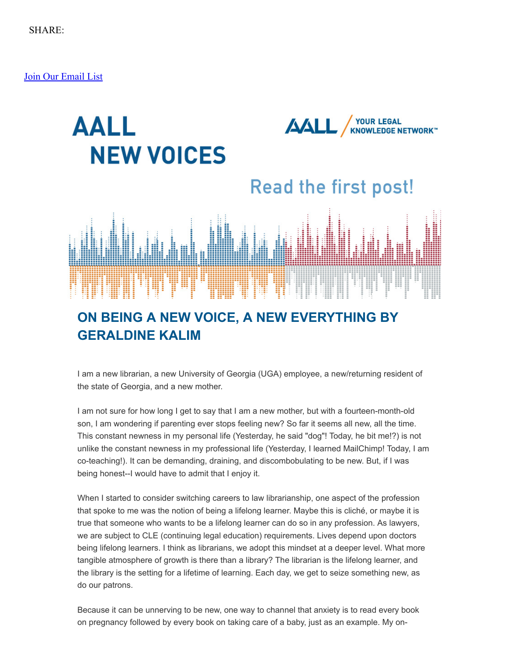[Join Our Email List](https://visitor.constantcontact.com/d.jsp?m=1103444292258&p=oi)



## **ON BEING A NEW VOICE, A NEW EVERYTHING BY GERALDINE KALIM**

I am a new librarian, a new University of Georgia (UGA) employee, a new/returning resident of the state of Georgia, and a new mother.

I am not sure for how long I get to say that I am a new mother, but with a fourteen-month-old son, I am wondering if parenting ever stops feeling new? So far it seems all new, all the time. This constant newness in my personal life (Yesterday, he said "dog"! Today, he bit me!?) is not unlike the constant newness in my professional life (Yesterday, I learned MailChimp! Today, I am co-teaching!). It can be demanding, draining, and discombobulating to be new. But, if I was being honest--I would have to admit that I enjoy it.

When I started to consider switching careers to law librarianship, one aspect of the profession that spoke to me was the notion of being a lifelong learner. Maybe this is cliché, or maybe it is true that someone who wants to be a lifelong learner can do so in any profession. As lawyers, we are subject to CLE (continuing legal education) requirements. Lives depend upon doctors being lifelong learners. I think as librarians, we adopt this mindset at a deeper level. What more tangible atmosphere of growth is there than a library? The librarian is the lifelong learner, and the library is the setting for a lifetime of learning. Each day, we get to seize something new, as do our patrons.

Because it can be unnerving to be new, one way to channel that anxiety is to read every book on pregnancy followed by every book on taking care of a baby, just as an example. My on